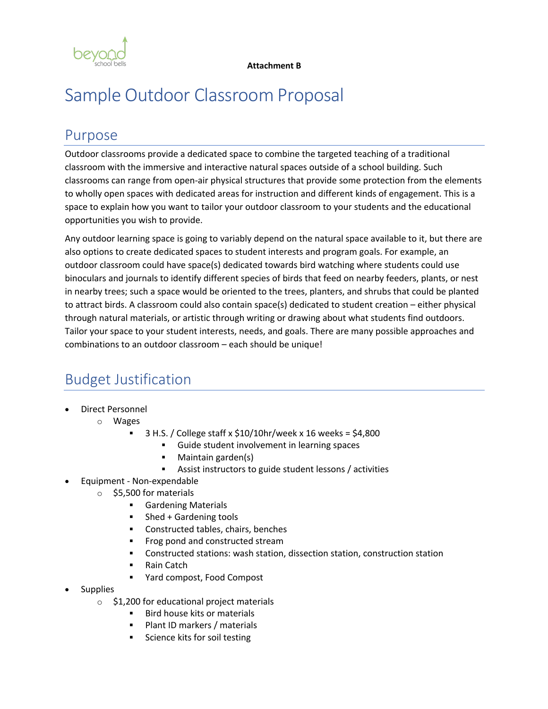

# Sample Outdoor Classroom Proposal

### Purpose

Outdoor classrooms provide a dedicated space to combine the targeted teaching of a traditional classroom with the immersive and interactive natural spaces outside of a school building. Such classrooms can range from open-air physical structures that provide some protection from the elements to wholly open spaces with dedicated areas for instruction and different kinds of engagement. This is a space to explain how you want to tailor your outdoor classroom to your students and the educational opportunities you wish to provide.

Any outdoor learning space is going to variably depend on the natural space available to it, but there are also options to create dedicated spaces to student interests and program goals. For example, an outdoor classroom could have space(s) dedicated towards bird watching where students could use binoculars and journals to identify different species of birds that feed on nearby feeders, plants, or nest in nearby trees; such a space would be oriented to the trees, planters, and shrubs that could be planted to attract birds. A classroom could also contain space(s) dedicated to student creation – either physical through natural materials, or artistic through writing or drawing about what students find outdoors. Tailor your space to your student interests, needs, and goals. There are many possible approaches and combinations to an outdoor classroom – each should be unique!

## Budget Justification

- Direct Personnel
	- o Wages
		- § 3 H.S. / College staff x \$10/10hr/week x 16 weeks = \$4,800
			- § Guide student involvement in learning spaces
			- § Maintain garden(s)
			- Assist instructors to guide student lessons / activities
- Equipment Non-expendable
	- o \$5,500 for materials
		- Gardening Materials
		- Shed + Gardening tools
		- Constructed tables, chairs, benches
		- § Frog pond and constructed stream
		- § Constructed stations: wash station, dissection station, construction station
		- § Rain Catch
		- § Yard compost, Food Compost
- Supplies
	- o \$1,200 for educational project materials
		- § Bird house kits or materials
		- Plant ID markers / materials
		- Science kits for soil testing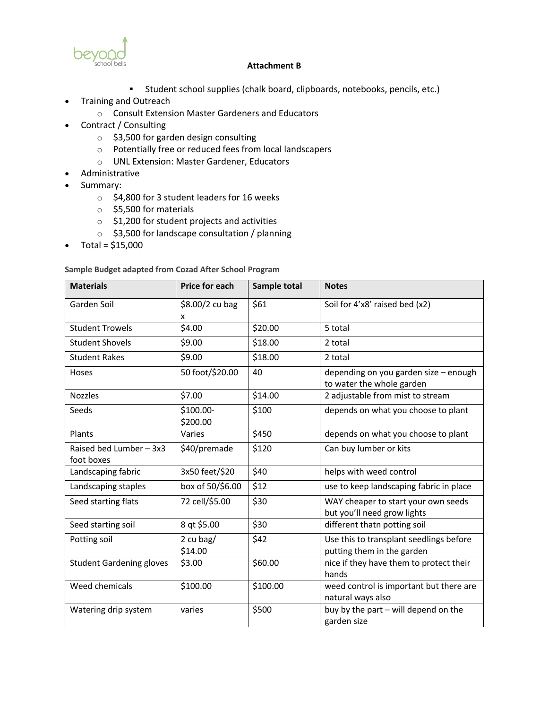

- § Student school supplies (chalk board, clipboards, notebooks, pencils, etc.)
- Training and Outreach
	- o Consult Extension Master Gardeners and Educators
- Contract / Consulting
	- o \$3,500 for garden design consulting
	- o Potentially free or reduced fees from local landscapers
	- o UNL Extension: Master Gardener, Educators
- Administrative
- Summary:
	- o \$4,800 for 3 student leaders for 16 weeks
	- o \$5,500 for materials
	- o \$1,200 for student projects and activities
	- o \$3,500 for landscape consultation / planning
- Total =  $$15,000$

**Sample Budget adapted from Cozad After School Program**

| <b>Materials</b>                      | <b>Price for each</b> | Sample total | <b>Notes</b>                                                          |
|---------------------------------------|-----------------------|--------------|-----------------------------------------------------------------------|
| Garden Soil                           | \$8.00/2 cu bag<br>x  | \$61         | Soil for 4'x8' raised bed (x2)                                        |
| <b>Student Trowels</b>                | \$4.00                | \$20.00      | 5 total                                                               |
| <b>Student Shovels</b>                | \$9.00                | \$18.00      | 2 total                                                               |
| <b>Student Rakes</b>                  | \$9.00                | \$18.00      | 2 total                                                               |
| Hoses                                 | 50 foot/\$20.00       | 40           | depending on you garden size - enough<br>to water the whole garden    |
| <b>Nozzles</b>                        | \$7.00                | \$14.00      | 2 adjustable from mist to stream                                      |
| Seeds                                 | \$100.00-<br>\$200.00 | \$100        | depends on what you choose to plant                                   |
| Plants                                | Varies                | \$450        | depends on what you choose to plant                                   |
| Raised bed Lumber - 3x3<br>foot boxes | \$40/premade          | \$120        | Can buy lumber or kits                                                |
| Landscaping fabric                    | 3x50 feet/\$20        | \$40         | helps with weed control                                               |
| Landscaping staples                   | box of 50/\$6.00      | \$12         | use to keep landscaping fabric in place                               |
| Seed starting flats                   | 72 cell/\$5.00        | \$30         | WAY cheaper to start your own seeds<br>but you'll need grow lights    |
| Seed starting soil                    | 8 qt \$5.00           | \$30         | different thatn potting soil                                          |
| Potting soil                          | 2 cu bag/<br>\$14.00  | \$42         | Use this to transplant seedlings before<br>putting them in the garden |
| <b>Student Gardening gloves</b>       | \$3.00                | \$60.00      | nice if they have them to protect their<br>hands                      |
| Weed chemicals                        | \$100.00              | \$100.00     | weed control is important but there are<br>natural ways also          |
| Watering drip system                  | varies                | \$500        | buy by the part - will depend on the<br>garden size                   |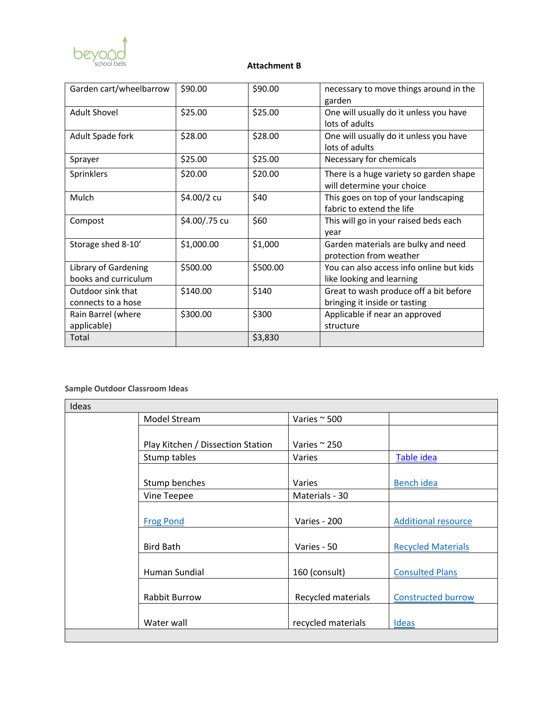

| Garden cart/wheelbarrow                      | \$90.00       | \$90.00  | necessary to move things around in the<br>garden                        |
|----------------------------------------------|---------------|----------|-------------------------------------------------------------------------|
| <b>Adult Shovel</b>                          | \$25.00       | \$25.00  | One will usually do it unless you have<br>lots of adults                |
| Adult Spade fork                             | \$28.00       | \$28.00  | One will usually do it unless you have<br>lots of adults                |
| Sprayer                                      | \$25.00       | \$25.00  | Necessary for chemicals                                                 |
| Sprinklers                                   | \$20.00       | \$20.00  | There is a huge variety so garden shape<br>will determine your choice   |
| Mulch                                        | \$4.00/2 cu   | \$40     | This goes on top of your landscaping<br>fabric to extend the life       |
| Compost                                      | \$4.00/.75 cu | \$60     | This will go in your raised beds each<br>year                           |
| Storage shed 8-10'                           | \$1,000.00    | \$1,000  | Garden materials are bulky and need<br>protection from weather          |
| Library of Gardening<br>books and curriculum | \$500.00      | \$500.00 | You can also access info online but kids<br>like looking and learning   |
| Outdoor sink that<br>connects to a hose      | \$140.00      | \$140    | Great to wash produce off a bit before<br>bringing it inside or tasting |
| Rain Barrel (where<br>applicable)            | \$300.00      | \$300    | Applicable if near an approved<br>structure                             |
| Total                                        |               | \$3,830  |                                                                         |

### **Sample Outdoor Classroom Ideas**

| Ideas |                                   |                      |                            |  |  |
|-------|-----------------------------------|----------------------|----------------------------|--|--|
|       | <b>Model Stream</b>               | Varies $\sim$ 500    |                            |  |  |
|       |                                   |                      |                            |  |  |
|       | Play Kitchen / Dissection Station | Varies $\approx$ 250 |                            |  |  |
|       | Stump tables                      | <b>Varies</b>        | Table idea                 |  |  |
|       |                                   |                      |                            |  |  |
|       | Stump benches                     | <b>Varies</b>        | <b>Bench idea</b>          |  |  |
|       | Vine Teepee                       | Materials - 30       |                            |  |  |
|       |                                   |                      |                            |  |  |
|       | <b>Frog Pond</b>                  | Varies - 200         | <b>Additional resource</b> |  |  |
|       |                                   |                      |                            |  |  |
|       | <b>Bird Bath</b>                  | Varies - 50          | <b>Recycled Materials</b>  |  |  |
|       |                                   |                      |                            |  |  |
|       | Human Sundial                     | 160 (consult)        | <b>Consulted Plans</b>     |  |  |
|       |                                   |                      |                            |  |  |
|       | <b>Rabbit Burrow</b>              | Recycled materials   | <b>Constructed burrow</b>  |  |  |
|       |                                   |                      |                            |  |  |
|       | Water wall                        | recycled materials   | <b>Ideas</b>               |  |  |
|       |                                   |                      |                            |  |  |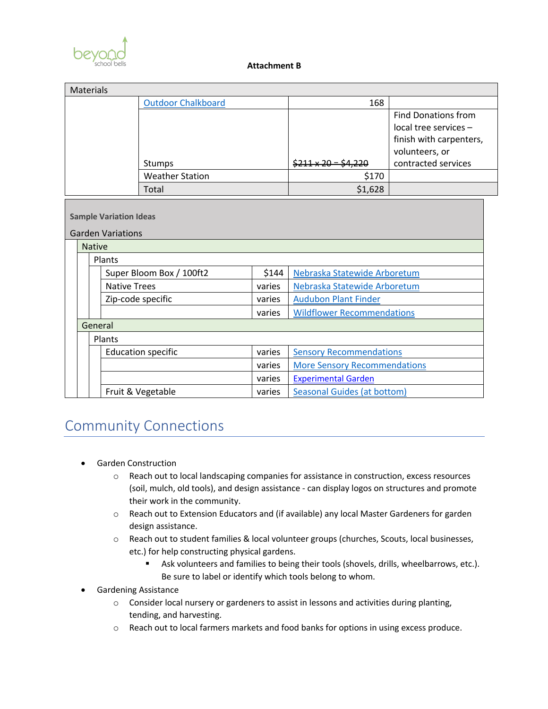

| <b>Materials</b> |                                          |               |                               |                                   |                         |                                     |                       |
|------------------|------------------------------------------|---------------|-------------------------------|-----------------------------------|-------------------------|-------------------------------------|-----------------------|
|                  | <b>Outdoor Chalkboard</b>                |               | 168                           |                                   |                         |                                     |                       |
|                  |                                          |               |                               | <b>Find Donations from</b>        |                         |                                     |                       |
|                  |                                          |               |                               |                                   |                         |                                     | local tree services - |
|                  |                                          |               |                               |                                   | finish with carpenters, |                                     |                       |
|                  |                                          |               |                               |                                   | volunteers, or          |                                     |                       |
|                  | <b>Stumps</b>                            |               |                               | $$211 \times 20$                  | contracted services     |                                     |                       |
|                  | <b>Weather Station</b>                   |               |                               | \$170                             |                         |                                     |                       |
|                  |                                          |               |                               | Total                             |                         | \$1,628                             |                       |
|                  |                                          |               |                               |                                   |                         |                                     |                       |
|                  |                                          |               | <b>Sample Variation Ideas</b> |                                   |                         |                                     |                       |
|                  |                                          |               | <b>Garden Variations</b>      |                                   |                         |                                     |                       |
|                  |                                          | <b>Native</b> |                               |                                   |                         |                                     |                       |
|                  | Plants                                   |               |                               |                                   |                         |                                     |                       |
|                  | \$144<br>Super Bloom Box / 100ft2        |               |                               | Nebraska Statewide Arboretum      |                         |                                     |                       |
|                  | <b>Native Trees</b><br>Zip-code specific |               | varies                        | Nebraska Statewide Arboretum      |                         |                                     |                       |
|                  |                                          |               | varies                        | <b>Audubon Plant Finder</b>       |                         |                                     |                       |
|                  | varies                                   |               |                               | <b>Wildflower Recommendations</b> |                         |                                     |                       |
|                  | General                                  |               |                               |                                   |                         |                                     |                       |
|                  | Plants                                   |               |                               |                                   |                         |                                     |                       |
|                  | <b>Education specific</b><br>varies      |               |                               | <b>Sensory Recommendations</b>    |                         |                                     |                       |
|                  |                                          |               |                               |                                   | varies                  | <b>More Sensory Recommendations</b> |                       |
|                  |                                          |               |                               |                                   | varies                  | <b>Experimental Garden</b>          |                       |
|                  |                                          |               |                               | Fruit & Vegetable                 | varies                  | <b>Seasonal Guides (at bottom)</b>  |                       |

### Community Connections

- Garden Construction
	- o Reach out to local landscaping companies for assistance in construction, excess resources (soil, mulch, old tools), and design assistance - can display logos on structures and promote their work in the community.
	- o Reach out to Extension Educators and (if available) any local Master Gardeners for garden design assistance.
	- o Reach out to student families & local volunteer groups (churches, Scouts, local businesses, etc.) for help constructing physical gardens.
		- **•** Ask volunteers and families to being their tools (shovels, drills, wheelbarrows, etc.). Be sure to label or identify which tools belong to whom.
- Gardening Assistance
	- $\circ$  Consider local nursery or gardeners to assist in lessons and activities during planting, tending, and harvesting.
	- o Reach out to local farmers markets and food banks for options in using excess produce.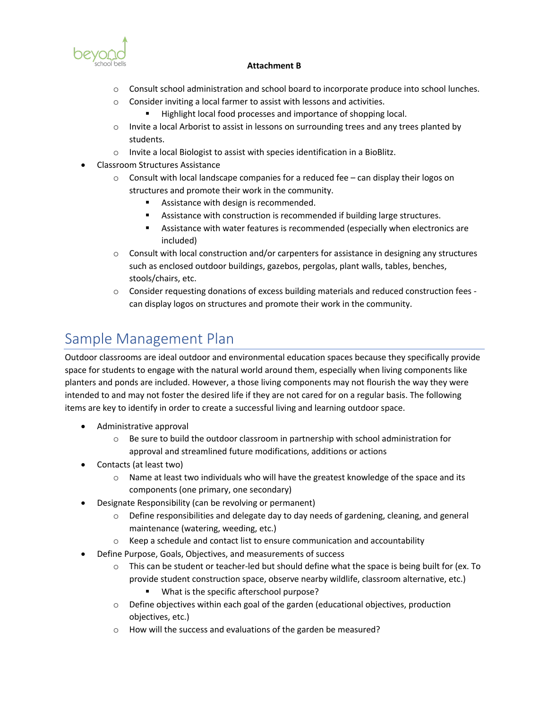

- o Consult school administration and school board to incorporate produce into school lunches.
- o Consider inviting a local farmer to assist with lessons and activities.
	- Highlight local food processes and importance of shopping local.
- $\circ$  Invite a local Arborist to assist in lessons on surrounding trees and any trees planted by students.
- o Invite a local Biologist to assist with species identification in a BioBlitz.
- Classroom Structures Assistance
	- $\circ$  Consult with local landscape companies for a reduced fee can display their logos on structures and promote their work in the community.
		- Assistance with design is recommended.
		- Assistance with construction is recommended if building large structures.
		- Assistance with water features is recommended (especially when electronics are included)
	- $\circ$  Consult with local construction and/or carpenters for assistance in designing any structures such as enclosed outdoor buildings, gazebos, pergolas, plant walls, tables, benches, stools/chairs, etc.
	- o Consider requesting donations of excess building materials and reduced construction fees can display logos on structures and promote their work in the community.

### Sample Management Plan

Outdoor classrooms are ideal outdoor and environmental education spaces because they specifically provide space for students to engage with the natural world around them, especially when living components like planters and ponds are included. However, a those living components may not flourish the way they were intended to and may not foster the desired life if they are not cared for on a regular basis. The following items are key to identify in order to create a successful living and learning outdoor space.

- Administrative approval
	- $\circ$  Be sure to build the outdoor classroom in partnership with school administration for approval and streamlined future modifications, additions or actions
- Contacts (at least two)
	- $\circ$  Name at least two individuals who will have the greatest knowledge of the space and its components (one primary, one secondary)
- Designate Responsibility (can be revolving or permanent)
	- $\circ$  Define responsibilities and delegate day to day needs of gardening, cleaning, and general maintenance (watering, weeding, etc.)
	- $\circ$  Keep a schedule and contact list to ensure communication and accountability
- Define Purpose, Goals, Objectives, and measurements of success
	- $\circ$  This can be student or teacher-led but should define what the space is being built for (ex. To provide student construction space, observe nearby wildlife, classroom alternative, etc.) ■ What is the specific afterschool purpose?
	- o Define objectives within each goal of the garden (educational objectives, production objectives, etc.)
	- o How will the success and evaluations of the garden be measured?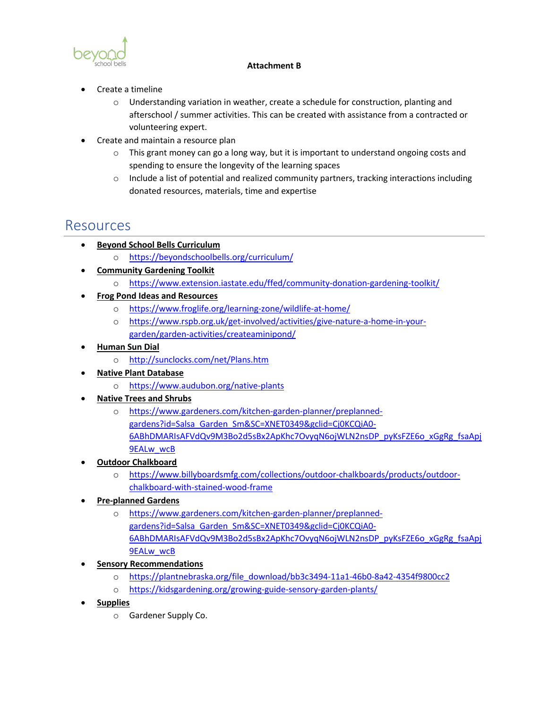

- Create a timeline
	- $\circ$  Understanding variation in weather, create a schedule for construction, planting and afterschool / summer activities. This can be created with assistance from a contracted or volunteering expert.
- Create and maintain a resource plan
	- $\circ$  This grant money can go a long way, but it is important to understand ongoing costs and spending to ensure the longevity of the learning spaces
	- $\circ$  Include a list of potential and realized community partners, tracking interactions including donated resources, materials, time and expertise

### Resources

- **Beyond School Bells Curriculum** 
	- o https://beyondschoolbells.org/curriculum/
- **Community Gardening Toolkit**
	- o https://www.extension.iastate.edu/ffed/community-donation-gardening-toolkit/
- **Frog Pond Ideas and Resources**
	- o https://www.froglife.org/learning-zone/wildlife-at-home/
	- o https://www.rspb.org.uk/get-involved/activities/give-nature-a-home-in-yourgarden/garden-activities/createaminipond/
- **Human Sun Dial**
	- o http://sunclocks.com/net/Plans.htm
- **Native Plant Database**
	- o https://www.audubon.org/native-plants
- **Native Trees and Shrubs**
	- o https://www.gardeners.com/kitchen-garden-planner/preplannedgardens?id=Salsa\_Garden\_Sm&SC=XNET0349&gclid=Cj0KCQiA0- 6ABhDMARIsAFVdQv9M3Bo2d5sBx2ApKhc7OvyqN6ojWLN2nsDP\_pyKsFZE6o\_xGgRg\_fsaApj 9EALw\_wcB
- **Outdoor Chalkboard**
	- o https://www.billyboardsmfg.com/collections/outdoor-chalkboards/products/outdoorchalkboard-with-stained-wood-frame
- **Pre-planned Gardens**
	- o https://www.gardeners.com/kitchen-garden-planner/preplannedgardens?id=Salsa\_Garden\_Sm&SC=XNET0349&gclid=Cj0KCQiA0-6ABhDMARIsAFVdQv9M3Bo2d5sBx2ApKhc7OvyqN6ojWLN2nsDP\_pyKsFZE6o\_xGgRg\_fsaApj 9EALw\_wcB
- **Sensory Recommendations**
	- o https://plantnebraska.org/file\_download/bb3c3494-11a1-46b0-8a42-4354f9800cc2
	- o https://kidsgardening.org/growing-guide-sensory-garden-plants/
- **Supplies** 
	- o Gardener Supply Co.